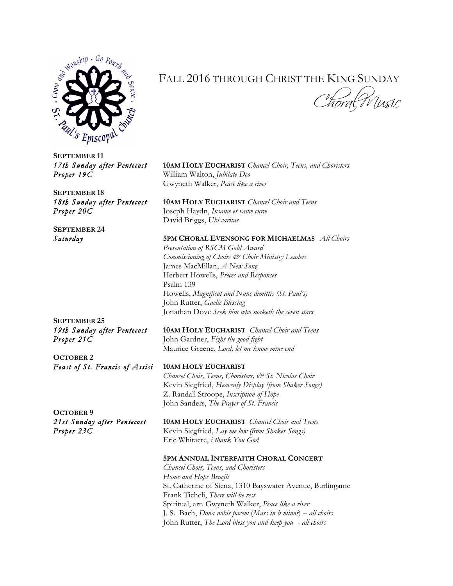

## FALL 2016 THROUGH CHRIST THE KING SUNDAY

*Choral Music* 

**SEPTEMBER 11** *Proper 19C* William Walton, *Jubilate Deo*

**SEPTEMBER 18**

**SEPTEMBER 24**

**SEPTEMBER 25**

**OCTOBER 2** *Feast of St. Francis of Assisi* **10AM HOLY EUCHARIST**

**OCTOBER 9**

*17th Sunday after Pentecost* **10AM HOLY EUCHARIST** *Chancel Choir, Teens, and Choristers*  Gwyneth Walker, *Peace like a river*

*18th Sunday after Pentecost* **10AM HOLY EUCHARIST** *Chancel Choir and Teens Proper 20C* Joseph Haydn, *Insanæ et vanæ curæ* David Briggs, *Ubi caritas*

## *Saturday* **5PM CHORAL EVENSONG FOR MICHAELMAS** *All Choirs*

*Presentation of RSCM Gold Award Commissioning of Choirs & Choir Ministry Leaders*  James MacMillan, *A New Song* Herbert Howells, *Preces and Responses* Psalm 139 Howells, *Magnificat and Nunc dimittis (St. Paul's)* John Rutter, *Gaelic Blessing* Jonathan Dove *Seek him who maketh the seven stars*

*19th Sunday after Pentecost* **10AM HOLY EUCHARIST** *Chancel Choir and Teens Proper 21C* John Gardner, *Fight the good fight* Maurice Greene, *Lord, let me know mine end*

*Chancel Choir, Teens, Choristers, & St. Nicolas Choir* Kevin Siegfried, *Heavenly Display (from Shaker Songs)* Z. Randall Stroope, *Inscription of Hope* John Sanders, *The Prayer of St. Francis*

*21st Sunday after Pentecost* **10AM HOLY EUCHARIST** *Chancel Choir and Teens Proper 23C* Kevin Siegfried, *Lay me low (from Shaker Songs)* Eric Whitacre, *i thank You God*

## **5PM ANNUAL INTERFAITH CHORAL CONCERT**

*Chancel Choir, Teens, and Choristers Home and Hope Benefit* St. Catherine of Siena, 1310 Bayswater Avenue, Burlingame Frank Ticheli, *There will be rest*  Spiritual, arr. Gwyneth Walker, *Peace like a river* J. S. Bach, *Dona nobis pacem* (*Mass in b minor*) – *all choirs* John Rutter, *The Lord bless you and keep you* - *all choirs*